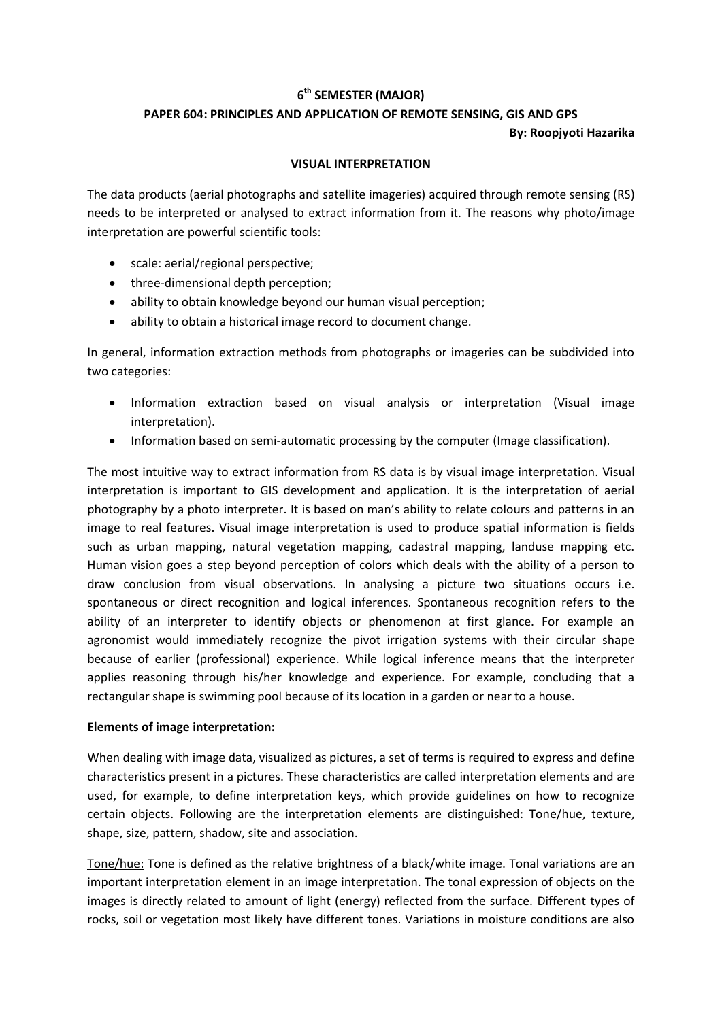## **6 th SEMESTER (MAJOR)**

## **PAPER 604: PRINCIPLES AND APPLICATION OF REMOTE SENSING, GIS AND GPS**

**By: Roopjyoti Hazarika**

## **VISUAL INTERPRETATION**

The data products (aerial photographs and satellite imageries) acquired through remote sensing (RS) needs to be interpreted or analysed to extract information from it. The reasons why photo/image interpretation are powerful scientific tools:

- scale: aerial/regional perspective;
- three-dimensional depth perception;
- ability to obtain knowledge beyond our human visual perception;
- ability to obtain a historical image record to document change.

In general, information extraction methods from photographs or imageries can be subdivided into two categories:

- Information extraction based on visual analysis or interpretation (Visual image interpretation).
- Information based on semi-automatic processing by the computer (Image classification).

The most intuitive way to extract information from RS data is by visual image interpretation. Visual interpretation is important to GIS development and application. It is the interpretation of aerial photography by a photo interpreter. It is based on man's ability to relate colours and patterns in an image to real features. Visual image interpretation is used to produce spatial information is fields such as urban mapping, natural vegetation mapping, cadastral mapping, landuse mapping etc. Human vision goes a step beyond perception of colors which deals with the ability of a person to draw conclusion from visual observations. In analysing a picture two situations occurs i.e. spontaneous or direct recognition and logical inferences. Spontaneous recognition refers to the ability of an interpreter to identify objects or phenomenon at first glance. For example an agronomist would immediately recognize the pivot irrigation systems with their circular shape because of earlier (professional) experience. While logical inference means that the interpreter applies reasoning through his/her knowledge and experience. For example, concluding that a rectangular shape is swimming pool because of its location in a garden or near to a house.

## **Elements of image interpretation:**

When dealing with image data, visualized as pictures, a set of terms is required to express and define characteristics present in a pictures. These characteristics are called interpretation elements and are used, for example, to define interpretation keys, which provide guidelines on how to recognize certain objects. Following are the interpretation elements are distinguished: Tone/hue, texture, shape, size, pattern, shadow, site and association.

Tone/hue: Tone is defined as the relative brightness of a black/white image. Tonal variations are an important interpretation element in an image interpretation. The tonal expression of objects on the images is directly related to amount of light (energy) reflected from the surface. Different types of rocks, soil or vegetation most likely have different tones. Variations in moisture conditions are also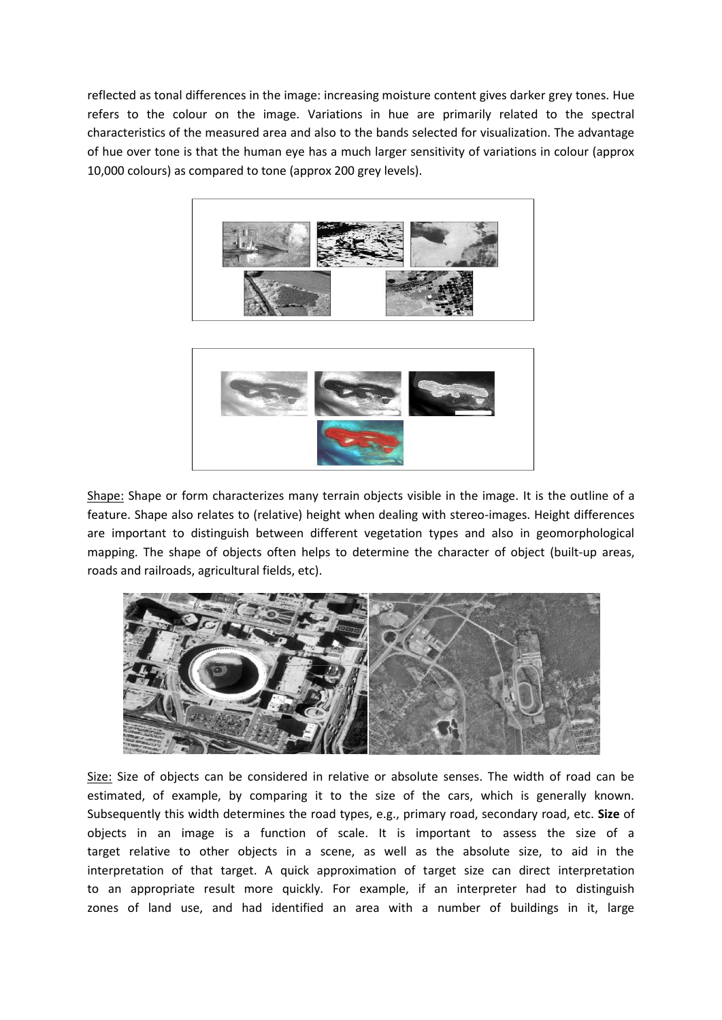reflected as tonal differences in the image: increasing moisture content gives darker grey tones. Hue refers to the colour on the image. Variations in hue are primarily related to the spectral characteristics of the measured area and also to the bands selected for visualization. The advantage of hue over tone is that the human eye has a much larger sensitivity of variations in colour (approx 10,000 colours) as compared to tone (approx 200 grey levels).





Shape: Shape or form characterizes many terrain objects visible in the image. It is the outline of a feature. Shape also relates to (relative) height when dealing with stereo-images. Height differences are important to distinguish between different vegetation types and also in geomorphological mapping. The shape of objects often helps to determine the character of object (built-up areas, roads and railroads, agricultural fields, etc).



Size: Size of objects can be considered in relative or absolute senses. The width of road can be estimated, of example, by comparing it to the size of the cars, which is generally known. Subsequently this width determines the road types, e.g., primary road, secondary road, etc. **Size** of objects in an image is a function of scale. It is important to assess the size of a target relative to other objects in a scene, as well as the absolute size, to aid in the interpretation of that target. A quick approximation of target size can direct interpretation to an appropriate result more quickly. For example, if an interpreter had to distinguish zones of land use, and had identified an area with a number of buildings in it, large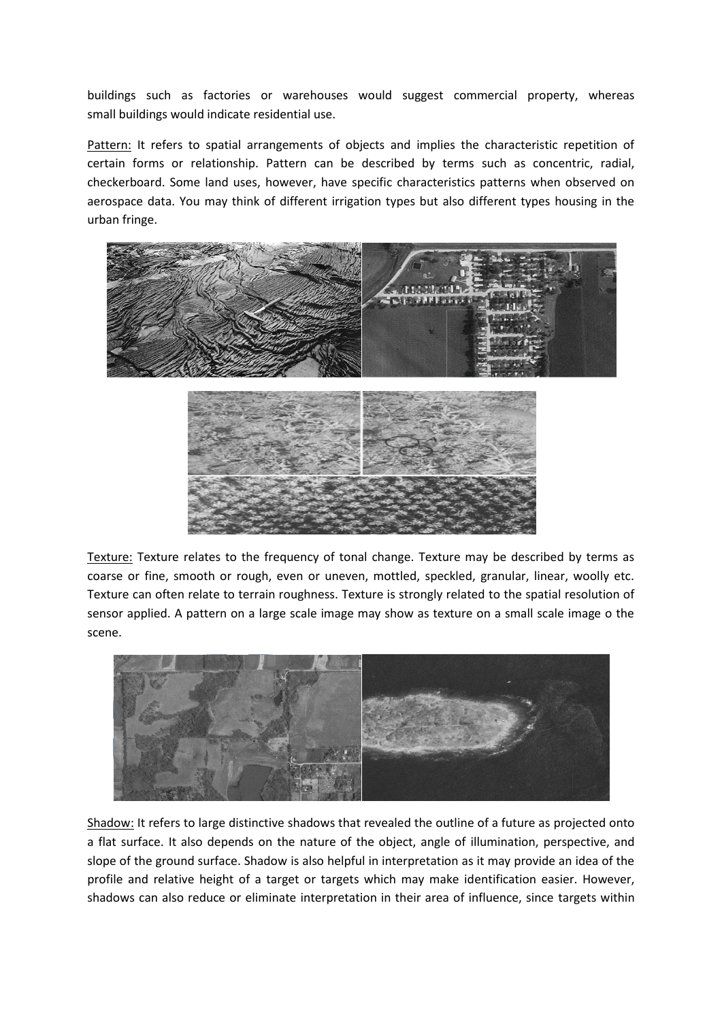buildings such as factories or warehouses would suggest commercial property, whereas small buildings would indicate residential use.

Pattern: It refers to spatial arrangements of objects and implies the characteristic repetition of certain forms or relationship. Pattern can be described by terms such as concentric, radial, checkerboard. Some land uses, however, have specific characteristics patterns when observed on aerospace data. You may think of different irrigation types but also different types housing in the urban fringe.



Texture: Texture relates to the frequency of tonal change. Texture may be described by terms as coarse or fine, smooth or rough, even or uneven, mottled, speckled, granular, linear, woolly etc. Texture can often relate to terrain roughness. Texture is strongly related to the spatial resolution of sensor applied. A pattern on a large scale image may show as texture on a small scale image o the scene.



Shadow: It refers to large distinctive shadows that revealed the outline of a future as projected onto a flat surface. It also depends on the nature of the object, angle of illumination, perspective, and slope of the ground surface. Shadow is also helpful in interpretation as it may provide an idea of the profile and relative height of a target or targets which may make identification easier. However, shadows can also reduce or eliminate interpretation in their area of influence, since targets within